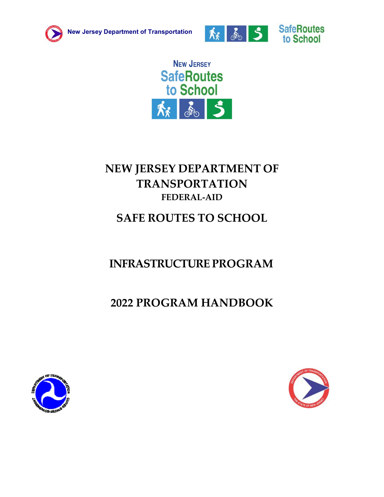





# **NEW JERSEY DEPARTMENT OF TRANSPORTATION FEDERAL‐AID**

# **SAFE ROUTES TO SCHOOL**

# **INFRASTRUCTURE PROGRAM**

# **2022 PROGRAM HANDBOOK**



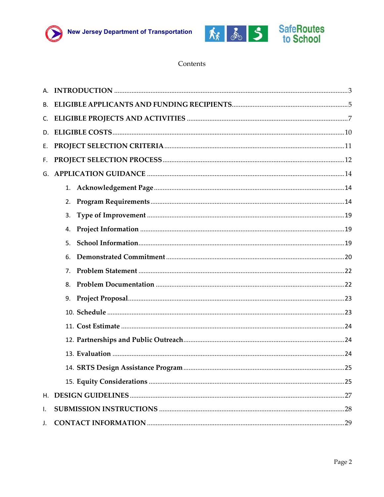



#### Contents

| В. |    |  |
|----|----|--|
|    |    |  |
|    |    |  |
| Е. |    |  |
| F. |    |  |
|    |    |  |
|    | 1. |  |
|    | 2. |  |
|    | 3. |  |
|    | 4. |  |
|    | 5. |  |
|    | 6. |  |
|    | 7. |  |
|    | 8. |  |
|    |    |  |
|    |    |  |
|    |    |  |
|    |    |  |
|    |    |  |
|    |    |  |
|    |    |  |
|    |    |  |
| I. |    |  |
| J. |    |  |
|    |    |  |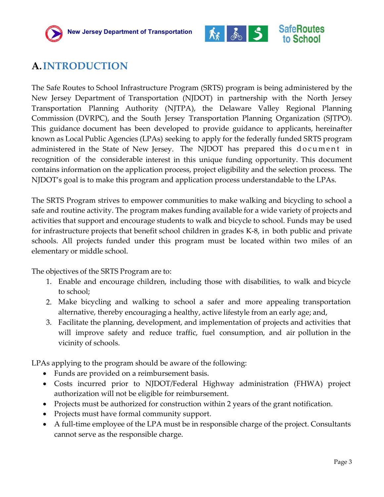



## <span id="page-2-0"></span>**A.INTRODUCTION**

The Safe Routes to School Infrastructure Program (SRTS) program is being administered by the New Jersey Department of Transportation (NJDOT) in partnership with the North Jersey Transportation Planning Authority (NJTPA), the Delaware Valley Regional Planning Commission (DVRPC), and the South Jersey Transportation Planning Organization (SJTPO). This guidance document has been developed to provide guidance to applicants, hereinafter known as Local Public Agencies (LPAs) seeking to apply for the federally funded SRTS program administered in the State of New Jersey. The NJDOT has prepared this document in recognition of the considerable interest in this unique funding opportunity. This document contains information on the application process, project eligibility and the selection process. The NJDOT's goal is to make this program and application process understandable to the LPAs.

The SRTS Program strives to empower communities to make walking and bicycling to school a safe and routine activity. The program makes funding available for a wide variety of projects and activities that support and encourage students to walk and bicycle to school. Funds may be used for infrastructure projects that benefit school children in grades K‐8, in both public and private schools. All projects funded under this program must be located within two miles of an elementary or middle school.

The objectives of the SRTS Program are to:

- 1. Enable and encourage children, including those with disabilities, to walk and bicycle to school;
- 2. Make bicycling and walking to school a safer and more appealing transportation alternative, thereby encouraging a healthy, active lifestyle from an early age; and,
- 3. Facilitate the planning, development, and implementation of projects and activities that will improve safety and reduce traffic, fuel consumption, and air pollution in the vicinity of schools.

LPAs applying to the program should be aware of the following:

- Funds are provided on a reimbursement basis.
- Costs incurred prior to NJDOT/Federal Highway administration (FHWA) project authorization will not be eligible for reimbursement.
- Projects must be authorized for construction within 2 years of the grant notification.
- Projects must have formal community support.
- A full-time employee of the LPA must be in responsible charge of the project. Consultants cannot serve as the responsible charge.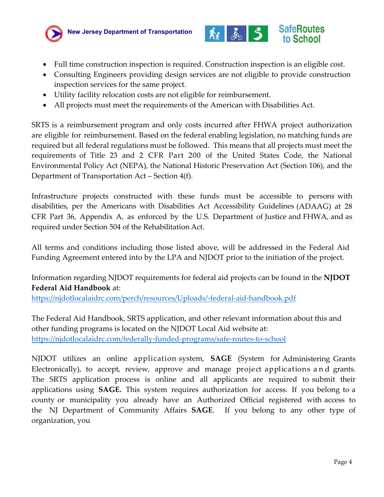



- Full time construction inspection is required. Construction inspection is an eligible cost.
- Consulting Engineers providing design services are not eligible to provide construction inspection services for the same project.
- Utility facility relocation costs are not eligible for reimbursement.
- All projects must meet the requirements of the American with Disabilities Act.

SRTS is a reimbursement program and only costs incurred after FHWA project authorization are eligible for reimbursement. Based on the federal enabling legislation, no matching funds are required but all federal regulations must be followed. This means that all projects must meet the requirements of Title 23 and 2 CFR Part 200 of the United States Code, the National Environmental Policy Act (NEPA), the National Historic Preservation Act (Section 106), and the Department of Transportation Act – Section 4(f).

Infrastructure projects constructed with these funds must be accessible to persons with disabilities, per the Americans with Disabilities Act Accessibility Guidelines (ADAAG) at 28 CFR Part 36, Appendix A, as enforced by the U.S. Department of Justice and FHWA, and as required under Section 504 of the Rehabilitation Act.

All terms and conditions including those listed above, will be addressed in the Federal Aid Funding Agreement entered into by the LPA and NJDOT prior to the initiation of the project.

Information regarding NJDOT requirements for federal aid projects can be found in the **NJDOT Federal Aid Handbook** at:

https://njdotlocalaidrc.com/perch/resources/Uploads/‐federal‐aid‐handbook.pdf

[The Federal Aid Handbook, SRTS application, and other relevant information](https://njdotlocalaidrc.com/perch/resources/Uploads/-federal-aid-handbook.pdf) about this and other funding programs is located on the NJDOT Local Aid website at: https://njdotlocalaidrc.com/federally‐funded‐programs/safe‐routes‐to‐school

[NJDOT utilizes an online application system,](https://njdotlocalaidrc.com/federally-funded-programs/safe-routes-to-school) **SAGE** (System for Administering Grants Electronically), to accept, review, approve and manage project applications a n d grants. The SRTS application process is online and all applicants are required to submit their applications using **SAGE.** This system requires authorization for access. If you belong to a county or municipality you already have an Authorized Official registered with access to the NJ Department of Community Affairs **SAGE**. If you belong to any other type of organization, you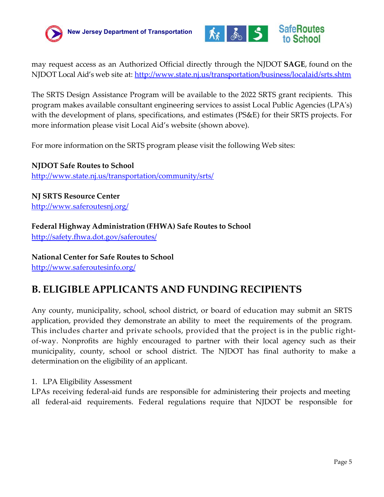



may request access as an Authorized Official directly through the NJDOT **SAGE**, found on the NJDOT Local Aid's web site at:<http://www.state.nj.us/transportation/business/localaid/srts.shtm>

The SRTS Design Assistance Program will be available to the 2022 SRTS grant recipients. This program makes available consultant engineering services to assist Local Public Agencies (LPA's) with the development of plans, specifications, and estimates (PS&E) for their SRTS projects. For more information please visit Local Aid's website (shown above).

For more information on the SRTS program please visit the following Web sites:

**NJDOT Safe Routes to School** <http://www.state.nj.us/transportation/community/srts/>

**NJ SRTS Resource Center** <http://www.saferoutesnj.org/>

**Federal Highway Administration (FHWA) Safe Routes to School** <http://safety.fhwa.dot.gov/saferoutes/>

**National Center for Safe Routes to School** <http://www.saferoutesinfo.org/>

## <span id="page-4-0"></span>**B. ELIGIBLE APPLICANTS AND FUNDING RECIPIENTS**

Any county, municipality, school, school district, or board of education may submit an SRTS application, provided they demonstrate an ability to meet the requirements of the program*.* This includes charter and private schools, provided that the project is in the public right‐ of‐way. Nonprofits are highly encouraged to partner with their local agency such as their municipality, county, school or school district. The NJDOT has final authority to make a determination on the eligibility of an applicant.

1. LPA Eligibility Assessment

LPAs receiving federal-aid funds are responsible for administering their projects and meeting all federal‐aid requirements. Federal regulations require that NJDOT be responsible for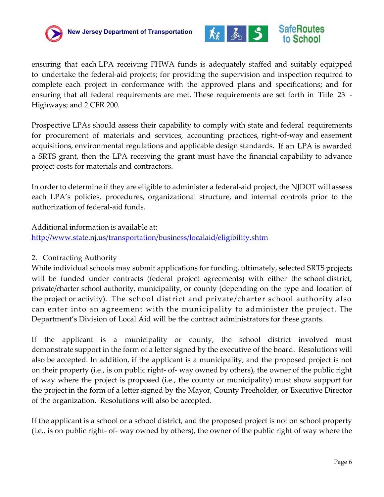



ensuring that each LPA receiving FHWA funds is adequately staffed and suitably equipped to undertake the federal‐aid projects; for providing the supervision and inspection required to complete each project in conformance with the approved plans and specifications; and for ensuring that all federal requirements are met. These requirements are set forth in Title 23 -Highways; and 2 CFR 200.

Prospective LPAs should assess their capability to comply with state and federal requirements for procurement of materials and services, accounting practices, right‐of‐way and easement acquisitions, environmental regulations and applicable design standards. If an LPA is awarded a SRTS grant, then the LPA receiving the grant must have the financial capability to advance project costs for materials and contractors.

In order to determine if they are eligible to administer a federal-aid project, the NJDOT will assess each LPA's policies, procedures, organizational structure, and internal controls prior to the authorization of federal‐aid funds.

Additional information is available at:

<http://www.state.nj.us/transportation/business/localaid/eligibility.shtm>

#### 2. Contracting Authority

While individual schools may submit applications for funding, ultimately, selected SRTS projects will be funded under contracts (federal project agreements) with either the school district, private/charter school authority, municipality, or county (depending on the type and location of the project or activity). The school district and private/charter school authority also can enter into an agreement with the municipality to administer the project. The Department's Division of Local Aid will be the contract administrators for these grants.

If the applicant is a municipality or county, the school district involved must demonstrate support in the form of a letter signed by the executive of the board. Resolutions will also be accepted. In addition, **i**f the applicant is a municipality, and the proposed project is not on their property (i.e., is on public right- of- way owned by others), the owner of the public right of way where the project is proposed (i.e., the county or municipality) must show support for the project in the form of a letter signed by the Mayor, County Freeholder, or Executive Director of the organization. Resolutions will also be accepted.

If the applicant is a school or a school district, and the proposed project is not on school property (i.e., is on public right- of- way owned by others), the owner of the public right of way where the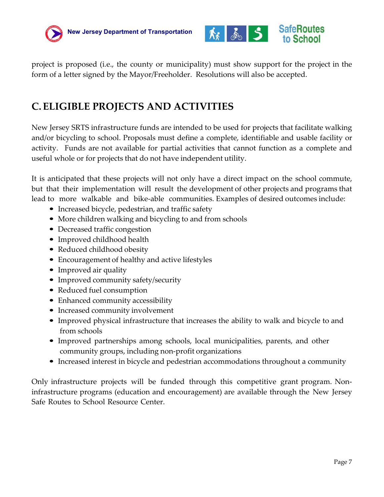



project is proposed (i.e., the county or municipality) must show support for the project in the form of a letter signed by the Mayor/Freeholder. Resolutions will also be accepted.

## <span id="page-6-0"></span>**C. ELIGIBLE PROJECTS AND ACTIVITIES**

New Jersey SRTS infrastructure funds are intended to be used for projects that facilitate walking and/or bicycling to school. Proposals must define a complete, identifiable and usable facility or activity. Funds are not available for partial activities that cannot function as a complete and useful whole or for projects that do not have independent utility.

It is anticipated that these projects will not only have a direct impact on the school commute, but that their implementation will result the development of other projects and programs that lead to more walkable and bike-able communities. Examples of desired outcomes include:

- Increased bicycle, pedestrian, and traffic safety
- More children walking and bicycling to and from schools
- Decreased traffic congestion
- Improved childhood health
- Reduced childhood obesity
- Encouragement of healthy and active lifestyles
- Improved air quality
- Improved community safety/security
- Reduced fuel consumption
- Enhanced community accessibility
- Increased community involvement
- Improved physical infrastructure that increases the ability to walk and bicycle to and from schools
- Improved partnerships among schools, local municipalities, parents, and other community groups, including non‐profit organizations
- Increased interest in bicycle and pedestrian accommodations throughout a community

Only infrastructure projects will be funded through this competitive grant program. Non‐ infrastructure programs (education and encouragement) are available through the New Jersey Safe Routes to School Resource Center.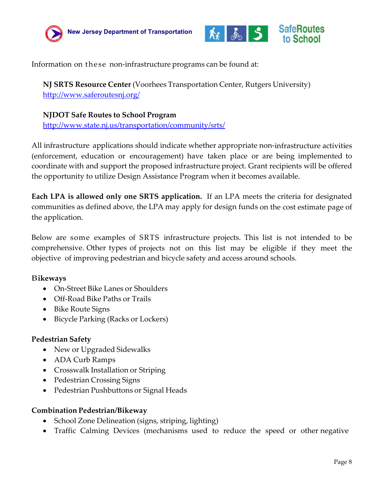



Information on these non-infrastructure programs can be found at:

**NJ SRTS Resource Center** (Voorhees Transportation Center, Rutgers University) <http://www.saferoutesnj.org/>

#### **NJDOT Safe Routes to School Program**

<http://www.state.nj.us/transportation/community/srts/>

All infrastructure applications should indicate whether appropriate non‐infrastructure activities (enforcement, education or encouragement) have taken place or are being implemented to coordinate with and support the proposed infrastructure project. Grant recipients will be offered the opportunity to utilize Design Assistance Program when it becomes available.

**Each LPA is allowed only one SRTS application.** If an LPA meets the criteria for designated communities as defined above, the LPA may apply for design funds on the cost estimate page of the application.

Below are some examples of SRTS infrastructure projects. This list is not intended to be comprehensive. Other types of projects not on this list may be eligible if they meet the objective of improving pedestrian and bicycle safety and access around schools.

#### B**ikeways**

- On-Street Bike Lanes or Shoulders
- Off-Road Bike Paths or Trails
- Bike Route Signs
- Bicycle Parking (Racks or Lockers)

#### **Pedestrian Safety**

- New or Upgraded Sidewalks
- ADA Curb Ramps
- Crosswalk Installation or Striping
- Pedestrian Crossing Signs
- Pedestrian Pushbuttons or Signal Heads

#### **Combination Pedestrian/Bikeway**

- School Zone Delineation (signs, striping, lighting)
- Traffic Calming Devices (mechanisms used to reduce the speed or other negative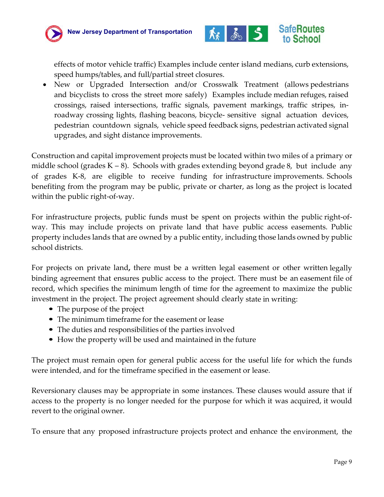



effects of motor vehicle traffic) Examples include center island medians, curb extensions, speed humps/tables, and full/partial street closures.

• New or Upgraded Intersection and/or Crosswalk Treatment (allows pedestrians and bicyclists to cross the street more safely) Examples include median refuges, raised crossings, raised intersections, traffic signals, pavement markings, traffic stripes, in‐ roadway crossing lights, flashing beacons, bicycle‐ sensitive signal actuation devices, pedestrian countdown signals, vehicle speed feedback signs, pedestrian activated signal upgrades, and sight distance improvements.

Construction and capital improvement projects must be located within two miles of a primary or middle school (grades  $K - 8$ ). Schools with grades extending beyond grade 8, but include any of grades K‐8, are eligible to receive funding for infrastructure improvements. Schools benefiting from the program may be public, private or charter, as long as the project is located within the public right-of-way.

For infrastructure projects, public funds must be spent on projects within the public right‐of‐ way. This may include projects on private land that have public access easements. Public property includes lands that are owned by a public entity, including those lands owned by public school districts.

For projects on private land**,** there must be a written legal easement or other written legally binding agreement that ensures public access to the project. There must be an easement file of record, which specifies the minimum length of time for the agreement to maximize the public investment in the project. The project agreement should clearly state in writing:

- The purpose of the project
- The minimum timeframe for the easement or lease
- The duties and responsibilities of the parties involved
- How the property will be used and maintained in the future

The project must remain open for general public access for the useful life for which the funds were intended, and for the timeframe specified in the easement or lease.

Reversionary clauses may be appropriate in some instances. These clauses would assure that if access to the property is no longer needed for the purpose for which it was acquired, it would revert to the original owner.

To ensure that any proposed infrastructure projects protect and enhance the environment, the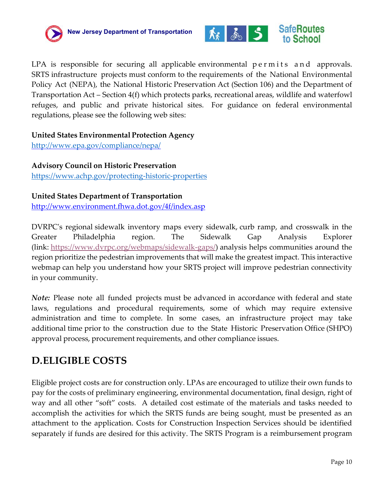



LPA is responsible for securing all applicable environmental permits and approvals. SRTS infrastructure projects must conform to the requirements of the National Environmental Policy Act (NEPA), the National Historic Preservation Act (Section 106) and the Department of Transportation Act – Section 4(f) which protects parks, recreational areas, wildlife and waterfowl refuges, and public and private historical sites. For guidance on federal environmental regulations, please see the following web sites:

#### **United States Environmental Protection Agency**

<http://www.epa.gov/compliance/nepa/>

#### **Advisory Council on Historic Preservation**

<https://www.achp.gov/protecting-historic-properties>

#### **United States Department of Transportation**

<http://www.environment.fhwa.dot.gov/4f/index.asp>

DVRPC's regional sidewalk inventory maps every sidewalk, curb ramp, and crosswalk in the Greater Philadelphia region. The Sidewalk Gap Analysis Explorer (link: [https://www.dvrpc.org/webmaps/sidewalk-gaps/\)](https://urldefense.com/v3/__https:/www.dvrpc.org/webmaps/sidewalk-gaps/__;!!J30X0ZrnC1oQtbA!ZxXh0QJU1b9FeIJV85M7S1N7Ibav8IhVB4l7t9sephuu61pHD-n6-U8ZYr8kZ4oyXj3bTg$) analysis helps communities around the region prioritize the pedestrian improvements that will make the greatest impact. This interactive webmap can help you understand how your SRTS project will improve pedestrian connectivity in your community.

*Note:* Please note all funded projects must be advanced in accordance with federal and state laws, regulations and procedural requirements, some of which may require extensive administration and time to complete. In some cases, an infrastructure project may take additional time prior to the construction due to the State Historic Preservation Office (SHPO) approval process, procurement requirements, and other compliance issues.

### <span id="page-9-0"></span>**D.ELIGIBLE COSTS**

Eligible project costs are for construction only. LPAs are encouraged to utilize their own funds to pay for the costs of preliminary engineering, environmental documentation, final design, right of way and all other "soft" costs. A detailed cost estimate of the materials and tasks needed to accomplish the activities for which the SRTS funds are being sought, must be presented as an attachment to the application. Costs for Construction Inspection Services should be identified separately if funds are desired for this activity. The SRTS Program is a reimbursement program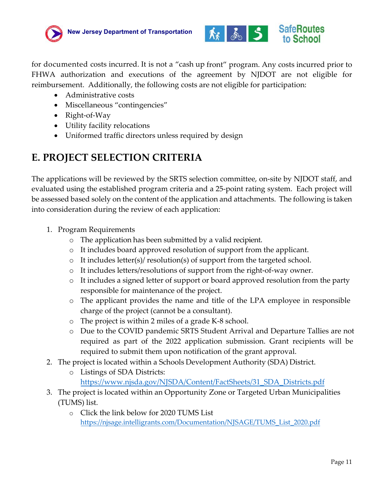



for documented costs incurred. It is not a "cash up front" program. Any costs incurred prior to FHWA authorization and executions of the agreement by NJDOT are not eligible for reimbursement. Additionally, the following costs are not eligible for participation:

- Administrative costs
- Miscellaneous "contingencies"
- Right-of-Way
- Utility facility relocations
- Uniformed traffic directors unless required by design

## <span id="page-10-0"></span>**E. PROJECT SELECTION CRITERIA**

The applications will be reviewed by the SRTS selection committee, on-site by NJDOT staff, and evaluated using the established program criteria and a 25-point rating system. Each project will be assessed based solely on the content of the application and attachments. The following is taken into consideration during the review of each application:

- 1. Program Requirements
	- o The application has been submitted by a valid recipient.
	- o It includes board approved resolution of support from the applicant.
	- $\circ$  It includes letter(s)/ resolution(s) of support from the targeted school.
	- o It includes letters/resolutions of support from the right‐of‐way owner.
	- o It includes a signed letter of support or board approved resolution from the party responsible for maintenance of the project.
	- o The applicant provides the name and title of the LPA employee in responsible charge of the project (cannot be a consultant).
	- o The project is within 2 miles of a grade K‐8 school.
	- o Due to the COVID pandemic SRTS Student Arrival and Departure Tallies are not required as part of the 2022 application submission. Grant recipients will be required to submit them upon notification of the grant approval.
- 2. The project is located within a Schools Development Authority (SDA) District.
	- o Listings of SDA Districts: [https://www.njsda.gov/NJSDA/Content/FactSheets/31\\_SDA\\_Districts.pdf](https://www.njsda.gov/NJSDA/Content/FactSheets/31_SDA_Districts.pdf)
- 3. The project is located within an Opportunity Zone or Targeted Urban Municipalities (TUMS) list.
	- o Click the link below for 2020 TUMS List https://njsage.intelligrants.com/Documentation/NJSAGE/TUMS\_List\_2020.pdf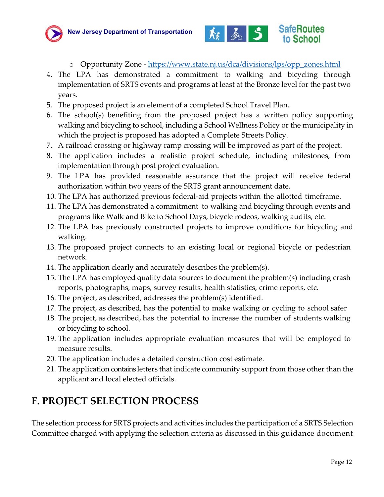



- o Opportunity Zone [https://www.state.nj.us/dca/divisions/lps/opp\\_zones.html](https://www.state.nj.us/dca/divisions/lps/opp_zones.html)
- 4. The LPA has demonstrated a commitment to walking and bicycling through implementation of SRTS events and programs at least at the Bronze level for the past two years.
- 5. The proposed project is an element of a completed School Travel Plan.
- 6. The school(s) benefiting from the proposed project has a written policy supporting walking and bicycling to school, including a School Wellness Policy or the municipality in which the project is proposed has adopted a Complete Streets Policy.
- 7. A railroad crossing or highway ramp crossing will be improved as part of the project.
- 8. The application includes a realistic project schedule, including milestones, from implementation through post project evaluation.
- 9. The LPA has provided reasonable assurance that the project will receive federal authorization within two years of the SRTS grant announcement date.
- 10. The LPA has authorized previous federal-aid projects within the allotted timeframe.
- 11. The LPA has demonstrated a commitment to walking and bicycling through events and programs like Walk and Bike to School Days, bicycle rodeos, walking audits, etc.
- 12. The LPA has previously constructed projects to improve conditions for bicycling and walking.
- 13. The proposed project connects to an existing local or regional bicycle or pedestrian network.
- 14. The application clearly and accurately describes the problem(s).
- 15. The LPA has employed quality data sources to document the problem(s) including crash reports, photographs, maps, survey results, health statistics, crime reports, etc.
- 16. The project, as described, addresses the problem(s) identified.
- 17. The project, as described, has the potential to make walking or cycling to school safer
- 18. The project, as described, has the potential to increase the number of students walking or bicycling to school.
- 19. The application includes appropriate evaluation measures that will be employed to measure results.
- 20. The application includes a detailed construction cost estimate.
- 21. The application contains letters that indicate community support from those other than the applicant and local elected officials.

## <span id="page-11-0"></span>**F. PROJECT SELECTION PROCESS**

The selection process for SRTS projects and activities includes the participation of a SRTS Selection Committee charged with applying the selection criteria as discussed in this guidance document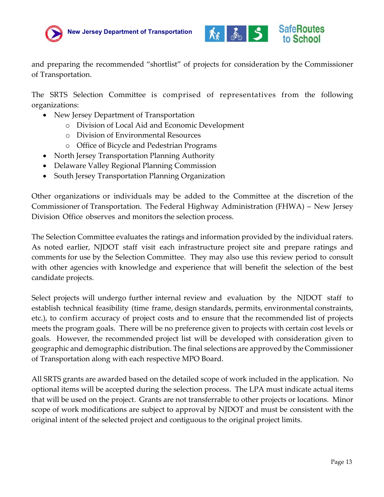



and preparing the recommended "shortlist" of projects for consideration by the Commissioner of Transportation.

The SRTS Selection Committee is comprised of representatives from the following organizations:

- New Jersey Department of Transportation
	- o Division of Local Aid and Economic Development
	- o Division of Environmental Resources
	- o Office of Bicycle and Pedestrian Programs
- North Jersey Transportation Planning Authority
- Delaware Valley Regional Planning Commission
- South Jersey Transportation Planning Organization

Other organizations or individuals may be added to the Committee at the discretion of the Commissioner of Transportation. The Federal Highway Administration (FHWA) – New Jersey Division Office observes and monitors the selection process.

The Selection Committee evaluates the ratings and information provided by the individual raters. As noted earlier, NJDOT staff visit each infrastructure project site and prepare ratings and comments for use by the Selection Committee. They may also use this review period to consult with other agencies with knowledge and experience that will benefit the selection of the best candidate projects.

Select projects will undergo further internal review and evaluation by the NJDOT staff to establish technical feasibility (time frame, design standards, permits, environmental constraints, etc.), to confirm accuracy of project costs and to ensure that the recommended list of projects meets the program goals. There will be no preference given to projects with certain cost levels or goals. However, the recommended project list will be developed with consideration given to geographic and demographic distribution. The final selections are approvedby the Commissioner of Transportation along with each respective MPO Board.

All SRTS grants are awarded based on the detailed scope of work included in the application. No optional items will be accepted during the selection process. The LPA must indicate actual items that will be used on the project. Grants are not transferrable to other projects or locations. Minor scope of work modifications are subject to approval by NJDOT and must be consistent with the original intent of the selected project and contiguous to the original project limits.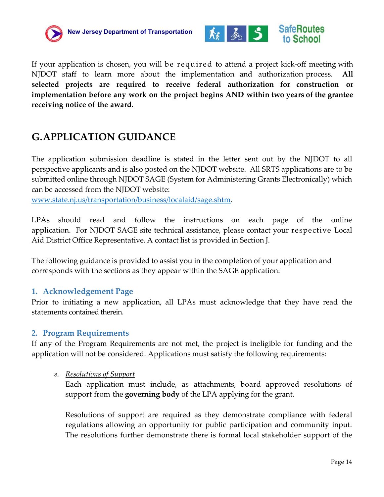



If your application is chosen, you will be required to attend a project kick‐off meeting with NJDOT staff to learn more about the implementation and authorization process. **All selected projects are required to receive federal authorization for construction or implementation before any work on the project begins AND within two years of the grantee receiving notice of the award.** 

## <span id="page-13-0"></span>**G.APPLICATION GUIDANCE**

The application submission deadline is stated in the letter sent out by the NJDOT to all perspective applicants and is also posted on the NJDOT website. All SRTS applications are to be submitted online through NJDOT SAGE (System for Administering Grants Electronically) which can be accessed from the NJDOT website:

[www.state.nj.us/transportation/business/localaid/sage.shtm.](http://www.state.nj.us/transportation/business/localaid/sage.shtm)

LPAs should read and follow the instructions on each page of the online application. For NJDOT SAGE site technical assistance, please contact your respective Local Aid District Office Representative. A contact list is provided in Section J.

The following guidance is provided to assist you in the completion of your application and corresponds with the sections as they appear within the SAGE application:

### <span id="page-13-1"></span>**1. Acknowledgement Page**

Prior to initiating a new application, all LPAs must acknowledge that they have read the statements contained therein.

#### <span id="page-13-2"></span>**2. Program Requirements**

If any of the Program Requirements are not met, the project is ineligible for funding and the application will not be considered. Applications must satisfy the following requirements:

a. *Resolutions of Support* 

Each application must include, as attachments, board approved resolutions of support from the **governing body** of the LPA applying for the grant.

Resolutions of support are required as they demonstrate compliance with federal regulations allowing an opportunity for public participation and community input. The resolutions further demonstrate there is formal local stakeholder support of the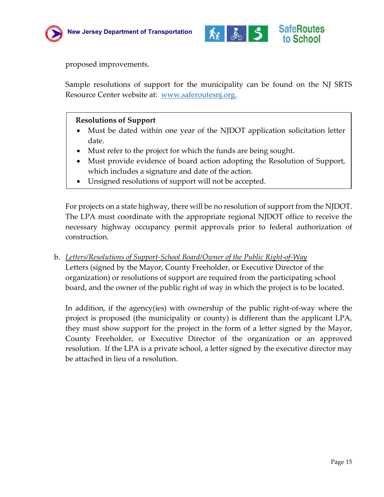



proposed improvements.

Sample resolutions of support for the municipality can be found on the NJ SRTS Resource Center website at: [www.saferoutesnj.org.](http://www.saferoutesnj.org/)

#### **Resolutions of Support**

- Must be dated within one year of the NJDOT application solicitation letter date.
- Must refer to the project for which the funds are being sought.
- Must provide evidence of board action adopting the Resolution of Support, which includes a signature and date of the action.
- Unsigned resolutions of support will not be accepted.

For projects on a state highway, there will be no resolution of support from the NJDOT. The LPA must coordinate with the appropriate regional NJDOT office to receive the necessary highway occupancy permit approvals prior to federal authorization of construction.

b. *Letters/Resolutions of Support-School Board/Owner of the Public Right-of-Way* Letters (signed by the Mayor, County Freeholder, or Executive Director of the organization) or resolutions of support are required from the participating school board, and the owner of the public right of way in which the project is to be located.

In addition, if the agency(ies) with ownership of the public right-of-way where the project is proposed (the municipality or county) is different than the applicant LPA, they must show support for the project in the form of a letter signed by the Mayor, County Freeholder, or Executive Director of the organization or an approved resolution. If the LPA is a private school, a letter signed by the executive director may be attached in lieu of a resolution.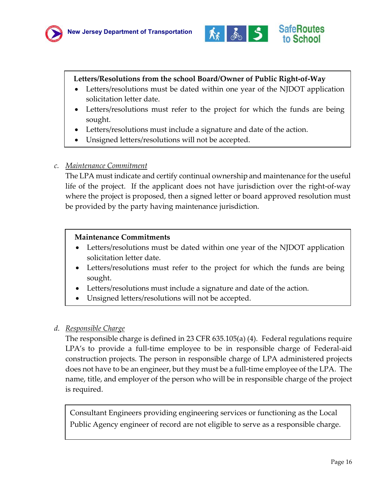



#### **Letters/Resolutions from the school Board/Owner of Public Right-of-Way**

- Letters/resolutions must be dated within one year of the NJDOT application solicitation letter date.
- Letters/resolutions must refer to the project for which the funds are being sought.
- Letters/resolutions must include a signature and date of the action.
- Unsigned letters/resolutions will not be accepted.

#### *c. Maintenance Commitment*

The LPA must indicate and certify continual ownership and maintenance for the useful life of the project. If the applicant does not have jurisdiction over the right-of-way where the project is proposed, then a signed letter or board approved resolution must be provided by the party having maintenance jurisdiction.

#### **Maintenance Commitments**

- Letters/resolutions must be dated within one year of the NJDOT application solicitation letter date.
- Letters/resolutions must refer to the project for which the funds are being sought.
- Letters/resolutions must include a signature and date of the action.
- Unsigned letters/resolutions will not be accepted.

#### *d. Responsible Charge*

The responsible charge is defined in 23 CFR 635.105(a) (4). Federal regulations require LPA's to provide a full-time employee to be in responsible charge of Federal-aid construction projects. The person in responsible charge of LPA administered projects does not have to be an engineer, but they must be a full-time employee of the LPA. The name, title, and employer of the person who will be in responsible charge of the project is required.

Consultant Engineers providing engineering services or functioning as the Local Public Agency engineer of record are not eligible to serve as a responsible charge.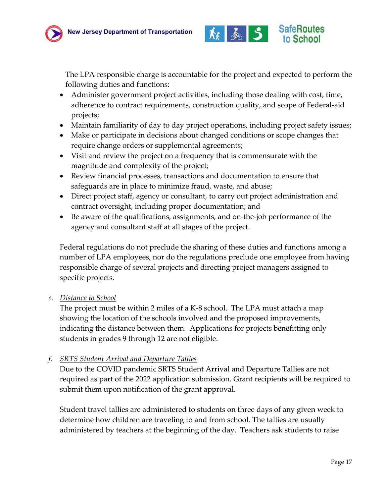



The LPA responsible charge is accountable for the project and expected to perform the following duties and functions:

- Administer government project activities, including those dealing with cost, time, adherence to contract requirements, construction quality, and scope of Federal-aid projects;
- Maintain familiarity of day to day project operations, including project safety issues;
- Make or participate in decisions about changed conditions or scope changes that require change orders or supplemental agreements;
- Visit and review the project on a frequency that is commensurate with the magnitude and complexity of the project;
- Review financial processes, transactions and documentation to ensure that safeguards are in place to minimize fraud, waste, and abuse;
- Direct project staff, agency or consultant, to carry out project administration and contract oversight, including proper documentation; and
- Be aware of the qualifications, assignments, and on-the-job performance of the agency and consultant staff at all stages of the project.

Federal regulations do not preclude the sharing of these duties and functions among a number of LPA employees, nor do the regulations preclude one employee from having responsible charge of several projects and directing project managers assigned to specific projects.

*e. Distance to School*

The project must be within 2 miles of a K-8 school. The LPA must attach a map showing the location of the schools involved and the proposed improvements, indicating the distance between them. Applications for projects benefitting only students in grades 9 through 12 are not eligible.

*f. SRTS Student Arrival and Departure Tallies*

Due to the COVID pandemic SRTS Student Arrival and Departure Tallies are not required as part of the 2022 application submission. Grant recipients will be required to submit them upon notification of the grant approval.

Student travel tallies are administered to students on three days of any given week to determine how children are traveling to and from school. The tallies are usually administered by teachers at the beginning of the day. Teachers ask students to raise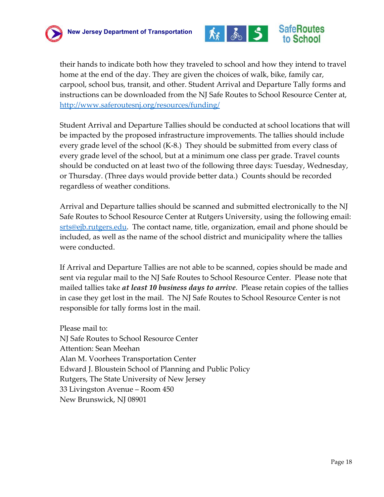



their hands to indicate both how they traveled to school and how they intend to travel home at the end of the day. They are given the choices of walk, bike, family car, carpool, school bus, transit, and other. Student Arrival and Departure Tally forms and instructions can be downloaded from the NJ Safe Routes to School Resource Center at, <http://www.saferoutesnj.org/resources/funding/>

Student Arrival and Departure Tallies should be conducted at school locations that will be impacted by the proposed infrastructure improvements. The tallies should include every grade level of the school (K-8.) They should be submitted from every class of every grade level of the school, but at a minimum one class per grade. Travel counts should be conducted on at least two of the following three days: Tuesday, Wednesday, or Thursday. (Three days would provide better data.) Counts should be recorded regardless of weather conditions.

Arrival and Departure tallies should be scanned and submitted electronically to the NJ Safe Routes to School Resource Center at Rutgers University, using the following email: [srts@ejb.rutgers.edu.](mailto:srts@ejb.rutgers.edu) The contact name, title, organization, email and phone should be included, as well as the name of the school district and municipality where the tallies were conducted.

If Arrival and Departure Tallies are not able to be scanned, copies should be made and sent via regular mail to the NJ Safe Routes to School Resource Center. Please note that mailed tallies take *at least 10 business days to arrive*. Please retain copies of the tallies in case they get lost in the mail. The NJ Safe Routes to School Resource Center is not responsible for tally forms lost in the mail.

Please mail to: NJ Safe Routes to School Resource Center Attention: Sean Meehan Alan M. Voorhees Transportation Center Edward J. Bloustein School of Planning and Public Policy Rutgers, The State University of New Jersey 33 Livingston Avenue – Room 450 New Brunswick, NJ 08901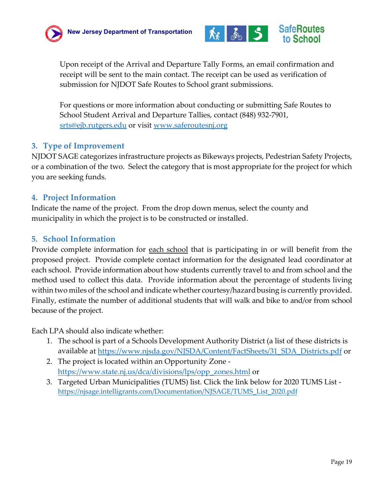



Upon receipt of the Arrival and Departure Tally Forms, an email confirmation and receipt will be sent to the main contact. The receipt can be used as verification of submission for NJDOT Safe Routes to School grant submissions.

For questions or more information about conducting or submitting Safe Routes to School Student Arrival and Departure Tallies, contact (848) 932-7901, [srts@ejb.rutgers.edu](mailto:srts@ejb.rutgers.edu) or visit [www.saferoutesnj.org](http://www.saferoutesnj.org/)

#### <span id="page-18-0"></span>**3. Type of Improvement**

NJDOT SAGE categorizes infrastructure projects as Bikeways projects, Pedestrian Safety Projects, or a combination of the two. Select the category that is most appropriate for the project for which you are seeking funds.

#### <span id="page-18-1"></span>**4. Project Information**

Indicate the name of the project. From the drop down menus, select the county and municipality in which the project is to be constructed or installed.

#### <span id="page-18-2"></span>**5. School Information**

Provide complete information for <u>each school</u> that is participating in or will benefit from the proposed project. Provide complete contact information for the designated lead coordinator at each school. Provide information about how students currently travel to and from school and the method used to collect this data. Provide information about the percentage of students living within two miles of the school and indicate whether courtesy/hazard busing is currently provided. Finally, estimate the number of additional students that will walk and bike to and/or from school because of the project.

Each LPA should also indicate whether:

- 1. The school is part of a Schools Development Authority District (a list of these districts is available at [https://www.njsda.gov/NJSDA/Content/FactSheets/31\\_SDA\\_Districts.pdf](https://www.njsda.gov/NJSDA/Content/FactSheets/31_SDA_Districts.pdf) or
- 2. The project is located within an Opportunity Zone ‐ [https://www.state.nj.us/dca/divisions/lps/opp\\_zones.html](https://www.state.nj.us/dca/divisions/lps/opp_zones.html) or
- 3. Targeted Urban Municipalities (TUMS) list. Click the link below for 2020 TUMS List ‐ https://njsage.intelligrants.com/Documentation/NJSAGE/TUMS\_List\_2020.pdf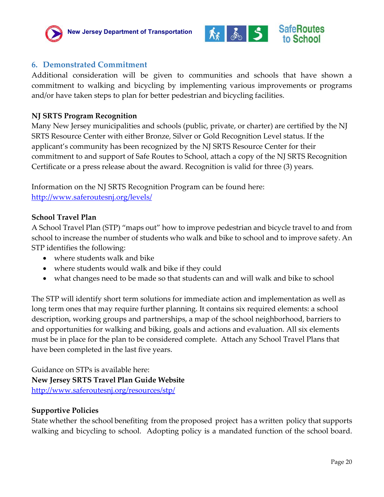



#### <span id="page-19-0"></span>**6. Demonstrated Commitment**

Additional consideration will be given to communities and schools that have shown a commitment to walking and bicycling by implementing various improvements or programs and/or have taken steps to plan for better pedestrian and bicycling facilities.

#### **NJ SRTS Program Recognition**

Many New Jersey municipalities and schools (public, private, or charter) are certified by the NJ SRTS Resource Center with either Bronze, Silver or Gold Recognition Level status. If the applicant's community has been recognized by the NJ SRTS Resource Center for their commitment to and support of Safe Routes to School, attach a copy of the NJ SRTS Recognition Certificate or a press release about the award. Recognition is valid for three (3) years.

Information on the NJ SRTS Recognition Program can be found here: <http://www.saferoutesnj.org/levels/>

#### **School Travel Plan**

A School Travel Plan (STP) "maps out" how to improve pedestrian and bicycle travel to and from school to increase the number of students who walk and bike to school and to improve safety. An STP identifies the following:

- where students walk and bike
- where students would walk and bike if they could
- what changes need to be made so that students can and will walk and bike to school

The STP will identify short term solutions for immediate action and implementation as well as long term ones that may require further planning. It contains six required elements: a school description, working groups and partnerships, a map of the school neighborhood, barriers to and opportunities for walking and biking, goals and actions and evaluation. All six elements must be in place for the plan to be considered complete. Attach any School Travel Plans that have been completed in the last five years.

Guidance on STPs is available here: **New Jersey SRTS Travel Plan Guide Website** <http://www.saferoutesnj.org/resources/stp/>

#### **Supportive Policies**

State whether the school benefiting from the proposed project has a written policy that supports walking and bicycling to school. Adopting policy is a mandated function of the school board.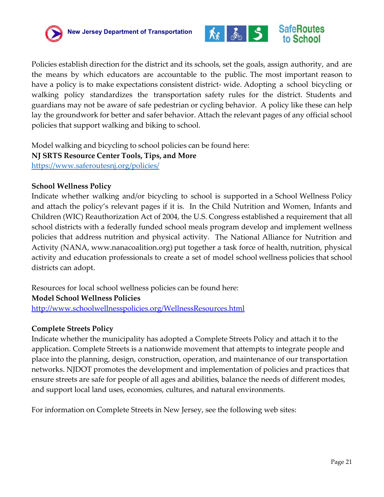



Policies establish direction for the district and its schools, set the goals, assign authority, and are the means by which educators are accountable to the public. The most important reason to have a policy is to make expectations consistent district- wide. Adopting a school bicycling or walking policy standardizes the transportation safety rules for the district. Students and guardians may not be aware of safe pedestrian or cycling behavior. A policy like these can help lay the groundwork for better and safer behavior. Attach the relevant pages of any official school policies that support walking and biking to school.

Model walking and bicycling to school policies can be found here: **NJ SRTS Resource Center Tools, Tips, and More** <https://www.saferoutesnj.org/policies/>

#### **School Wellness Policy**

Indicate whether walking and/or bicycling to school is supported in a School Wellness Policy and attach the policy's relevant pages if it is. In the Child Nutrition and Women, Infants and Children (WIC) Reauthorization Act of 2004, the U.S. Congress established a requirement that all school districts with a federally funded school meals program develop and implement wellness policies that address nutrition and physical activity. The National Alliance for Nutrition and Activity (NANA, www.nanacoalition.org) put together a task force of health, nutrition, physical activity and education professionals to create a set of model school wellness policies that school districts can adopt.

Resources for local school wellness policies can be found here:

#### **Model School Wellness Policies**

<http://www.schoolwellnesspolicies.org/WellnessResources.html>

#### **Complete Streets Policy**

Indicate whether the municipality has adopted a Complete Streets Policy and attach it to the application. Complete Streets is a nationwide movement that attempts to integrate people and place into the planning, design, construction, operation, and maintenance of our transportation networks. NJDOT promotes the development and implementation of policies and practices that ensure streets are safe for people of all ages and abilities, balance the needs of different modes, and support local land uses, economies, cultures, and natural environments.

For information on Complete Streets in New Jersey, see the following web sites: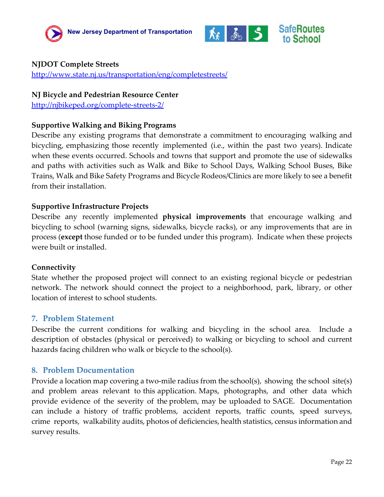



#### **NJDOT Complete Streets**

<http://www.state.nj.us/transportation/eng/completestreets/>

#### **NJ Bicycle and Pedestrian Resource Center**

<http://njbikeped.org/complete-streets-2/>

#### **Supportive Walking and Biking Programs**

Describe any existing programs that demonstrate a commitment to encouraging walking and bicycling, emphasizing those recently implemented (i.e., within the past two years). Indicate when these events occurred. Schools and towns that support and promote the use of sidewalks and paths with activities such as Walk and Bike to School Days, Walking School Buses, Bike Trains, Walk and Bike Safety Programs and Bicycle Rodeos/Clinics are more likely to see a benefit from their installation.

#### **Supportive Infrastructure Projects**

Describe any recently implemented **physical improvements** that encourage walking and bicycling to school (warning signs, sidewalks, bicycle racks), or any improvements that are in process (**except** those funded or to be funded under this program). Indicate when these projects were built or installed.

#### **Connectivity**

State whether the proposed project will connect to an existing regional bicycle or pedestrian network. The network should connect the project to a neighborhood, park, library, or other location of interest to school students.

#### <span id="page-21-0"></span>**7. Problem Statement**

Describe the current conditions for walking and bicycling in the school area. Include a description of obstacles (physical or perceived) to walking or bicycling to school and current hazards facing children who walk or bicycle to the school(s).

#### <span id="page-21-1"></span>**8. Problem Documentation**

Provide a location map covering a two-mile radius from the school(s), showing the school site(s) and problem areas relevant to this application. Maps, photographs, and other data which provide evidence of the severity of the problem, may be uploaded to SAGE. Documentation can include a history of traffic problems, accident reports, traffic counts, speed surveys, crime reports, walkability audits, photos of deficiencies, health statistics, census information and survey results.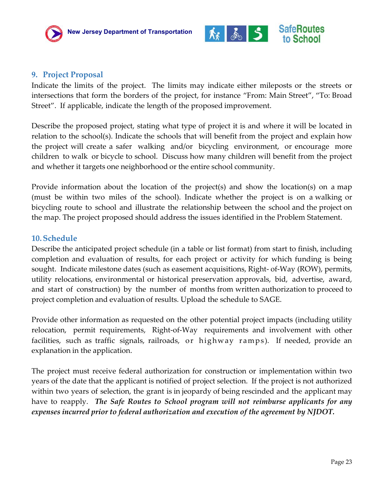



### <span id="page-22-0"></span>**9. Project Proposal**

Indicate the limits of the project. The limits may indicate either mileposts or the streets or intersections that form the borders of the project, for instance "From: Main Street", "To: Broad Street". If applicable, indicate the length of the proposed improvement.

Describe the proposed project, stating what type of project it is and where it will be located in relation to the school(s). Indicate the schools that will benefit from the project and explain how the project will create a safer walking and/or bicycling environment, or encourage more children to walk or bicycle to school. Discuss how many children will benefit from the project and whether it targets one neighborhood or the entire school community.

Provide information about the location of the project(s) and show the location(s) on a map (must be within two miles of the school). Indicate whether the project is on a walking or bicycling route to school and illustrate the relationship between the school and the project on the map. The project proposed should address the issues identified in the Problem Statement.

#### <span id="page-22-1"></span>**10.Schedule**

Describe the anticipated project schedule (in a table or list format) from start to finish, including completion and evaluation of results, for each project or activity for which funding is being sought. Indicate milestone dates (such as easement acquisitions, Right- of-Way (ROW), permits, utility relocations, environmental or historical preservation approvals, bid, advertise, award, and start of construction) by the number of months from written authorization to proceed to project completion and evaluation of results. Upload the schedule to SAGE.

Provide other information as requested on the other potential project impacts (including utility relocation, permit requirements, Right‐of‐Way requirements and involvement with other facilities, such as traffic signals, railroads, or highway ramps). If needed, provide an explanation in the application.

The project must receive federal authorization for construction or implementation within two years of the date that the applicant is notified of project selection. If the project is not authorized within two years of selection, the grant is in jeopardy of being rescinded and the applicant may have to reapply. *The Safe Routes to School program will not reimburse applicants for any expenses incurred prior to federal authorization and execution of the agreement by NJDOT.*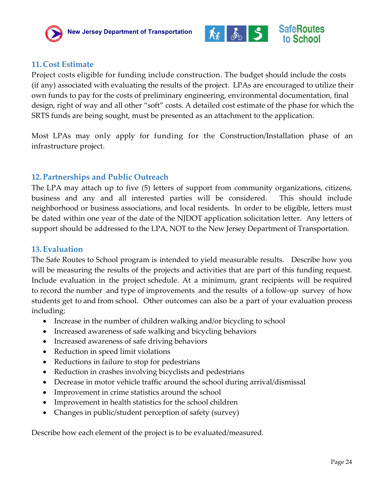



#### <span id="page-23-0"></span>**11.Cost Estimate**

Project costs eligible for funding include construction. The budget should include the costs (if any) associated with evaluating the results of the project. LPAs are encouraged to utilize their own funds to pay for the costs of preliminary engineering, environmental documentation, final design, right of way and all other "soft" costs. A detailed cost estimate of the phase for which the SRTS funds are being sought, must be presented as an attachment to the application.

Most LPAs may only apply for funding for the Construction/Installation phase of an infrastructure project.

#### <span id="page-23-1"></span>**12.Partnerships and Public Outreach**

The LPA may attach up to five (5) letters of support from community organizations, citizens, business and any and all interested parties will be considered. This should include neighborhood or business associations, and local residents. In order to be eligible, letters must be dated within one year of the date of the NJDOT application solicitation letter. Any letters of support should be addressed to the LPA, NOT to the New Jersey Department of Transportation.

#### <span id="page-23-2"></span>**13.Evaluation**

The Safe Routes to School program is intended to yield measurable results. Describe how you will be measuring the results of the projects and activities that are part of this funding request. Include evaluation in the project schedule. At a minimum, grant recipients will be required to record the number and type of improvements and the results of a follow-up survey of how students get to and from school. Other outcomes can also be a part of your evaluation process including:

- Increase in the number of children walking and/or bicycling to school
- Increased awareness of safe walking and bicycling behaviors
- Increased awareness of safe driving behaviors
- Reduction in speed limit violations
- Reductions in failure to stop for pedestrians
- Reduction in crashes involving bicyclists and pedestrians
- Decrease in motor vehicle traffic around the school during arrival/dismissal
- Improvement in crime statistics around the school
- Improvement in health statistics for the school children
- Changes in public/student perception of safety (survey)

Describe how each element of the project is to be evaluated/measured.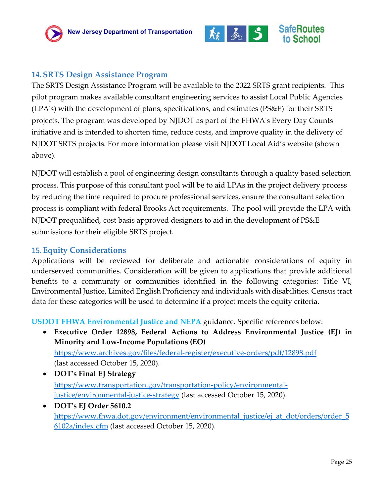

### <span id="page-24-0"></span>**14.SRTS Design Assistance Program**

The SRTS Design Assistance Program will be available to the 2022 SRTS grant recipients. This pilot program makes available consultant engineering services to assist Local Public Agencies (LPA's) with the development of plans, specifications, and estimates (PS&E) for their SRTS projects. The program was developed by NJDOT as part of the FHWA's Every Day Counts initiative and is intended to shorten time, reduce costs, and improve quality in the delivery of NJDOT SRTS projects. For more information please visit NJDOT Local Aid's website (shown above).

NJDOT will establish a pool of engineering design consultants through a quality based selection process. This purpose of this consultant pool will be to aid LPAs in the project delivery process by reducing the time required to procure professional services, ensure the consultant selection process is compliant with federal Brooks Act requirements. The pool will provide the LPA with NJDOT prequalified, cost basis approved designers to aid in the development of PS&E submissions for their eligible SRTS project.

#### <span id="page-24-1"></span>15.**Equity Considerations**

Applications will be reviewed for deliberate and actionable considerations of equity in underserved communities. Consideration will be given to applications that provide additional benefits to a community or communities identified in the following categories: Title VI, Environmental Justice, Limited English Proficiency and individuals with disabilities. Census tract data for these categories will be used to determine if a project meets the equity criteria.

**USDOT FHWA Environmental Justice and NEPA** guidance. Specific references below:

- **Executive Order 12898, Federal Actions to Address Environmental Justice (EJ) in Minority and Low-Income Populations (EO)** <https://www.archives.gov/files/federal-register/executive-orders/pdf/12898.pdf> (last accessed October 15, 2020).
- **DOT's Final EJ Strategy** [https://www.transportation.gov/transportation-policy/environmental](https://www.transportation.gov/transportation-policy/environmental-justice/environmental-justice-strategy)[justice/environmental-justice-strategy](https://www.transportation.gov/transportation-policy/environmental-justice/environmental-justice-strategy) (last accessed October 15, 2020).
- **DOT's EJ Order 5610.2** [https://www.fhwa.dot.gov/environment/environmental\\_justice/ej\\_at\\_dot/orders/order\\_5](https://www.fhwa.dot.gov/environment/environmental_justice/ej_at_dot/orders/order_56102a/index.cfm) <u>[6102a/index.cfm](https://www.fhwa.dot.gov/environment/environmental_justice/ej_at_dot/orders/order_56102a/index.cfm)</u> (last accessed October 15, 2020).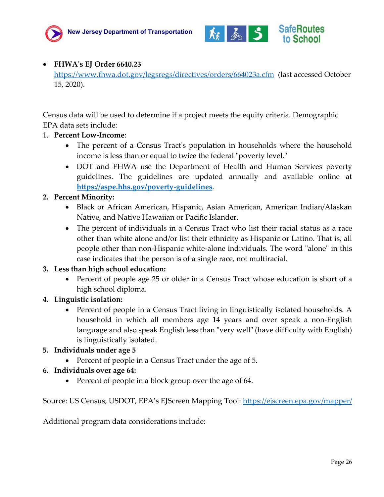



#### • **FHWA's EJ Order 6640.23**

<https://www.fhwa.dot.gov/legsregs/directives/orders/664023a.cfm> (last accessed October 15, 2020).

Census data will be used to determine if a project meets the equity criteria. Demographic EPA data sets include:

- 1. **Percent Low-Income**:
	- The percent of a Census Tract's population in households where the household income is less than or equal to twice the federal "poverty level."
	- DOT and FHWA use the Department of Health and Human Services poverty guidelines. The guidelines are updated annually and available online at **<https://aspe.hhs.gov/poverty-guidelines>**.

#### **2. Percent Minority:**

- Black or African American, Hispanic, Asian American, American Indian/Alaskan Native, and Native Hawaiian or Pacific Islander.
- The percent of individuals in a Census Tract who list their racial status as a race other than white alone and/or list their ethnicity as Hispanic or Latino. That is, all people other than non-Hispanic white-alone individuals. The word "alone" in this case indicates that the person is of a single race, not multiracial.

#### **3. Less than high school education:**

• Percent of people age 25 or older in a Census Tract whose education is short of a high school diploma.

#### **4. Linguistic isolation:**

• Percent of people in a Census Tract living in linguistically isolated households. A household in which all members age 14 years and over speak a non-English language and also speak English less than "very well" (have difficulty with English) is linguistically isolated.

#### **5. Individuals under age 5**

• Percent of people in a Census Tract under the age of 5.

#### **6. Individuals over age 64:**

• Percent of people in a block group over the age of 64.

Source: US Census, USDOT, EPA's EJScreen Mapping Tool:<https://ejscreen.epa.gov/mapper/>

Additional program data considerations include: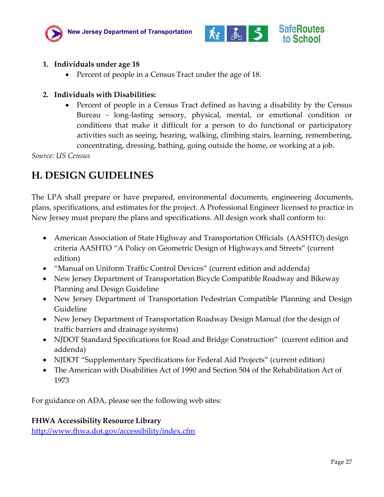



#### **1. Individuals under age 18**

• Percent of people in a Census Tract under the age of 18.

#### **2. Individuals with Disabilities:**

• Percent of people in a Census Tract defined as having a disability by the Census Bureau - long-lasting sensory, physical, mental, or emotional condition or conditions that make it difficult for a person to do functional or participatory activities such as seeing, hearing, walking, climbing stairs, learning, remembering, concentrating, dressing, bathing, going outside the home, or working at a job.

*Source: US Census*

## <span id="page-26-0"></span>**H. DESIGN GUIDELINES**

The LPA shall prepare or have prepared, environmental documents, engineering documents, plans, specifications, and estimates for the project. A Professional Engineer licensed to practice in New Jersey must prepare the plans and specifications. All design work shall conform to:

- American Association of State Highway and Transportation Officials (AASHTO) design criteria AASHTO "A Policy on Geometric Design of Highways and Streets" (current edition)
- "Manual on Uniform Traffic Control Devices" (current edition and addenda)
- New Jersey Department of Transportation Bicycle Compatible Roadway and Bikeway Planning and Design Guideline
- New Jersey Department of Transportation Pedestrian Compatible Planning and Design Guideline
- New Jersey Department of Transportation Roadway Design Manual (for the design of traffic barriers and drainage systems)
- NJDOT Standard Specifications for Road and Bridge Construction" (current edition and addenda)
- NJDOT "Supplementary Specifications for Federal Aid Projects" (current edition)
- The American with Disabilities Act of 1990 and Section 504 of the Rehabilitation Act of 1973

For guidance on ADA, please see the following web sites:

#### **FHWA Accessibility Resource Library**

<http://www.fhwa.dot.gov/accessibility/index.cfm>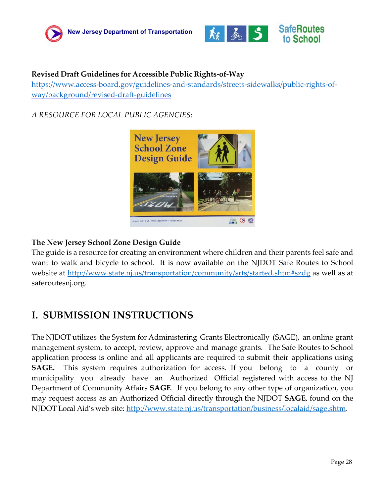



#### **Revised Draft Guidelines for Accessible Public Rights‐of‐Way**

[https://www.access-board.gov/guidelines-and-standards/streets-sidewalks/public-rights-of](https://www.access-board.gov/guidelines-and-standards/streets-sidewalks/public-rights-of-way/background/revised-draft-guidelines)[way/background/revised-draft-guidelines](https://www.access-board.gov/guidelines-and-standards/streets-sidewalks/public-rights-of-way/background/revised-draft-guidelines)

#### *A RESOURCE FOR LOCAL PUBLIC AGENCIES*:



#### **The New Jersey School Zone Design Guide**

The guide is a resource for creating an environment where children and their parents feel safe and want to walk and bicycle to school. It is now available on the NJDOT Safe Routes to School website at<http://www.state.nj.us/transportation/community/srts/started.shtm#szdg>as well as at saferoutesnj.org.

### <span id="page-27-0"></span>**I. SUBMISSION INSTRUCTIONS**

The NJDOT utilizes the System for Administering Grants Electronically (SAGE), an online grant management system, to accept, review, approve and manage grants. The Safe Routes to School application process is online and all applicants are required to submit their applications using **SAGE.** This system requires authorization for access. If you belong to a county or municipality you already have an Authorized Official registered with access to the NJ Department of Community Affairs **SAGE**. If you belong to any other type of organization, you may request access as an Authorized Official directly through the NJDOT **SAGE**, found on the NJDOT Local Aid's web site: [http://www.state.nj.us/transportation/business/localaid/sage.shtm.](http://www.state.nj.us/transportation/business/localaid/sage.shtm)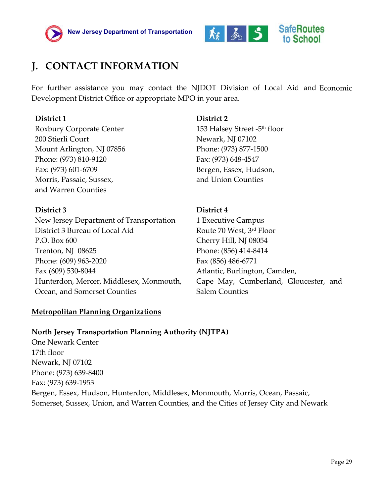



## <span id="page-28-0"></span>**J. CONTACT INFORMATION**

For further assistance you may contact the NJDOT Division of Local Aid and Economic Development District Office or appropriate MPO in your area.

#### **District 1**

Roxbury Corporate Center 200 Stierli Court Mount Arlington, NJ 07856 Phone: (973) 810-9120 Fax: (973) 601-6709 Morris, Passaic, Sussex, and Warren Counties

#### **District 3**

New Jersey Department of Transportation District 3 Bureau of Local Aid P.O. Box 600 Trenton, NJ 08625 Phone: (609) 963-2020 Fax (609) 530-8044 Hunterdon, Mercer, Middlesex, Monmouth, Ocean, and Somerset Counties

#### **Metropolitan Planning Organizations**

### **District 2**

153 Halsey Street -5th floor Newark, NJ 07102 Phone: (973) 877-1500 Fax: (973) 648-4547 Bergen, Essex, Hudson, and Union Counties

#### **District 4**

1 Executive Campus Route 70 West, 3rd Floor Cherry Hill, NJ 08054 Phone: (856) 414-8414 Fax (856) 486-6771 Atlantic, Burlington, Camden, Cape May, Cumberland, Gloucester, and Salem Counties

#### **North Jersey Transportation Planning Authority (NJTPA)**

One Newark Center 17th floor Newark, NJ 07102 Phone: (973) 639-8400 Fax: (973) 639-1953 Bergen, Essex, Hudson, Hunterdon, Middlesex, Monmouth, Morris, Ocean, Passaic, Somerset, Sussex, Union, and Warren Counties, and the Cities of Jersey City and Newark